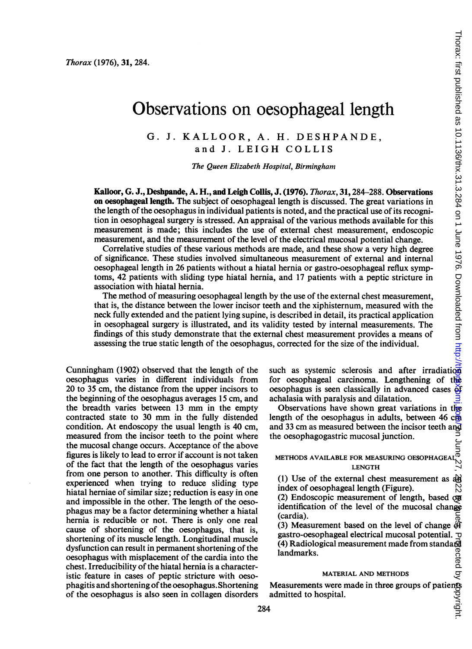Thorax: first published as 10.1136/thx.31.3.284 on 1 June 1976. Downloaded from http://

# Observations on oesophageal length

G. J. KALLOOR, A. H. DESHPANDE, and J. LEIGH COLLIS

The Queen Elizabeth Hospital, Birmingham

Kalloor, G. J., Deshpande, A. H., and Leigh Collis, J. (1976). Thorax, 31, 284-288. Observations on oesophageal length. The subject of oesophageal length is discussed. The great variations in the length of the oesophagus in individual patients is noted, and the practical use of its recognition in oesophageal surgery is stressed. An appraisal of the various methods available for this measurement is made; this includes the use of external chest measurement, endoscopic measurement, and the measurement of the level of the electrical mucosal potential change.

Correlative studies of these various methods are made, and these show a very high degree of significance. These studies involved simultaneous measurement of external and internal oesophageal length in 26 patients without a hiatal hernia or gastro-oesophageal reflux symptoms, 42 patients with sliding type hiatal hernia, and 17 patients with a peptic stricture in association with hiatal hernia.

The method of measuring oesophageal length by the use of the external chest measurement, that is, the distance between the lower incisor teeth and the xiphisternum, measured with the neck fully extended and the patient lying supine, is described in detail, its practical application in oesophageal surgery is illustrated, and its validity tested by internal measurements. The findings of this study demonstrate that the external chest measurement provides a means of assessing the true static length of the oesophagus, corrected for the size of the individual.

Cunningham (1902) observed that the length of the oesophagus varies in different individuals from 20 to 35 cm, the distance from the upper incisors to the beginning of the oesophagus averages 15 cm, and the breadth varies between <sup>13</sup> mm in the empty contracted state to <sup>30</sup> mm in the fully distended condition. At endoscopy the usual length is 40 cm, measured from the incisor teeth to the point where the mucosal change occurs. Acceptance of the above figures is likely to lead to error if account is not taken of the fact that the length of the oesophagus varies from one person to another. This difficulty is often experienced when trying to reduce sliding type hiatal herniae of similar size; reduction is easy in one and impossible in the other. The length of the oesophagus may be a factor determining whether a hiatal hernia is reducible or not. There is only one real cause of shortening of the oesophagus, that is, shortening of its muscle length. Longitudinal muscle dysfunction can result in permanent shortening of the oesophagus with misplacement of the cardia into the chest. Irreducibility of the hiatal hernia is a characteristic feature in cases of peptic stricture with oesophagitis and shortening of the oesophagus. Shortening of the oesophagus is also seen in collagen disorders such as systemic sclerosis and after irradiation for oesophageal carcinoma. Lengthening of the oesophagus is seen classically in advanced cases  $\delta f$ achalasia with paralysis and dilatation.

Observations have shown great variations in the length of the oesophagus in adults, between 46 cm and 33 cm as measured between the incisor teeth and the oesophagogastric mucosal junction. l horax: hrst published as 10.1136/thx.31.3.284 on 1 June 1976. Downloaded from http://tpg.gxgmj.gogm June 27, 想22. By Sub-st Protected by 绝pyright.

# $\frac{1}{10}$ <br>METHODS AVAILABLE FOR MEASURING OESOPHAGEAL<sup>D</sup> LENGTH

(1) Use of the external chest measurement as  $a + b$ index of oesophageal length (Figure).

(2) Endoscopic measurement of length, based on identification of the level of the mucosal change (cardia).

(3) Measurement based on the level of change  $\frac{\partial f}{\partial x}$  gastro-oesophageal electrical mucosal potential. gastro-oesophageal electrical mucosal potential. (4) Radiological measurement made from standard landmarks.

# MATERIAL AND METHODS

Measurements were made in three groups of patients admitted to hospital.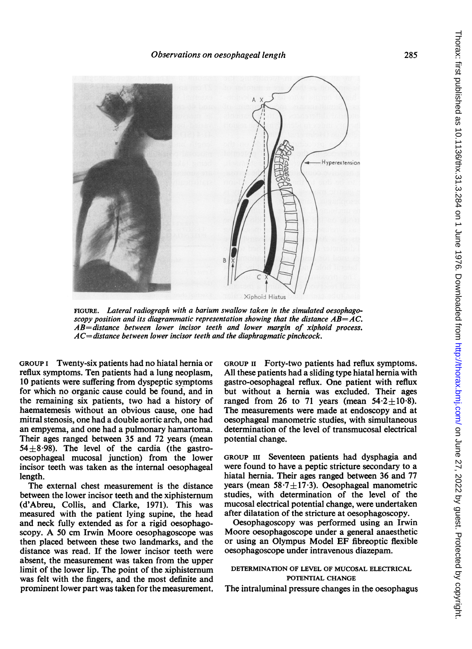

FIGURE. Lateral radiograph with a barium swallow taken in the simulated oesophagoscopy position and its diagrammatic representation showing that the distance  $AB = AC$ . AB=distance between lower incisor teeth and lower margin of xiphoid process.  $AC = distance$  between lower incisor teeth and the diaphragmatic pinchcock.

GROUP <sup>I</sup> Twenty-six patients had no hiatal hernia or reflux symptoms. Ten patients had a lung neoplasm, 10 patients were suffering from dyspeptic symptoms for which no organic cause could be found, and in the remaining six patients, two had a history of haematemesis without an obvious cause, one had mitral stenosis, one had a double aortic arch, one had an empyema, and one had a pulmonary hamartoma. Their ages ranged between 35 and 72 years (mean  $54+8.98$ ). The level of the cardia (the gastrooesophageal mucosal junction) from the lower incisor teeth was taken as the internal oesophageal length.

The external chest measurement is the distance between the lower incisor teeth and the xiphisternum (d'Abreu, Collis, and Clarke, 1971). This was measured with the patient lying supine, the head and neck fully extended as for a rigid oesophagoscopy. A <sup>50</sup> cm Irwin Moore oesophagoscope was then placed between these two landmarks, and the distance was read. If the lower incisor teeth were absent, the measurement was taken from the upper limit of the lower lip. The point of the xiphisternum was felt with the fingers, and the most definite and prominent lower part was taken for the measurement, GROUP II Forty-two patients had reflux symptoms. All these patients had a sliding type hiatal hernia with gastro-oesophageal reflux. One patient with reflux but without a hernia was excluded. Their ages ranged from 26 to 71 years (mean  $54.2 \pm 10.8$ ). The measurements were made at endoscopy and at oesophageal manometric studies, with simultaneous determination of the level of transmucosal electrical potential change.

GROUP III Seventeen patients had dysphagia and were found to have a peptic stricture secondary to a hiatal hernia. Their ages ranged between 36 and 77 years (mean  $58.7 \pm 17.3$ ). Oesophageal manometric studies, with determination of the level of the mucosal electrical potential change, were undertaken after dilatation of the stricture at oesophagoscopy.

Oesophagoscopy was performed using an Irwin Moore oesophagoscope under a general anaesthetic or using an Olympus Model EF fibreoptic flexible oesophagoscope under intravenous diazepam.

# DETERMINATION OF LEVEL OF MUCOSAL ELECTRICAL POTENTIAL CHANGE

The intraluminal pressure changes in the oesophagus

285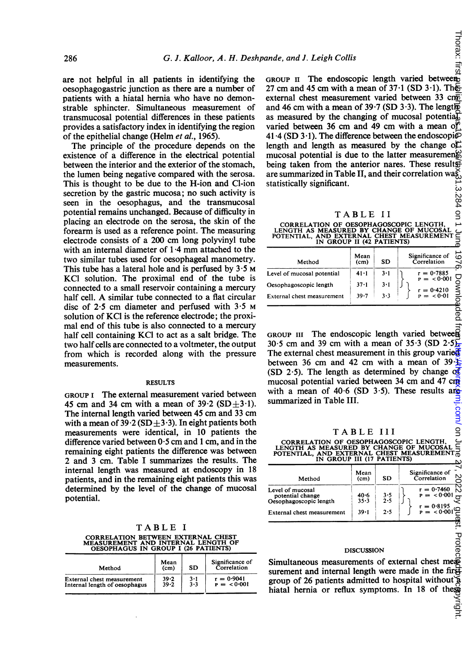are not helpful in all patients in identifying the oesophagogastric junction as there are a number of patients with a hiatal hernia who have no demonstrable sphincter. Simultaneous measurement of transmucosal potential differences in these patients provides a satisfactory index in identifying the region of the epithelial change (Helm et al., 1965).

The principle of the procedure depends on the existence of a difference in the electrical potential between the interior and the exterior of the stomach, the lumen being negative compared with the serosa. This is thought to be due to the H-ion and Cl-ion secretion by the gastric mucosa; no such activity is seen in the oesophagus, and the transmucosal potential remains unchanged. Because of difficulty in placing an electrode on the serosa, the skin of the forearm is used as a reference point. The measuring electrode consists of a 200 cm long polyvinyl tube with an internal diameter of 1-4 mm attached to the two similar tubes used for oesophageal manometry. This tube has a lateral hole and is perfused by  $3.5 \text{ m}$ KCI solution. The proximal end of the tube is connected to a small reservoir containing a mercury half cell. A similar tube connected to <sup>a</sup> flat circular disc of  $2.5$  cm diameter and perfused with  $3.5$  M solution of KCI is the reference electrode; the proximal end of this tube is also connected to a mercury half cell containing KCI to act as a salt bridge. The two half cells are connected to a voltmeter, the output from which is recorded along with the pressure measurements.

#### RESULTS

GROUP <sup>I</sup> The external measurement varied between 45 cm and 34 cm with a mean of  $39.2$  (SD $\pm$ 3.1). The internal length varied between 45 cm and <sup>33</sup> cm with a mean of 39.2 (SD $\pm$ 3.3). In eight patients both measurements were identical, in 10 patients the difference varied between  $0.5$  cm and 1 cm, and in the remaining eight patients the difference was between 2 and <sup>3</sup> cm. Table <sup>I</sup> summarizes the results. The internal length was measured at endoscopy in 18 patients, and in the remaining eight patients this was determined by the level of the change of mucosal potential.

TABLE <sup>I</sup> CORRELATION BETWEEN EXTERNAL CHEST MEASUREMENT AND INTERNAL LENGTH OF OESOPHAGUS IN GROUP <sup>I</sup> (26 PATIENTS)

| Method                        | Mean<br>(c <sub>m</sub> ) | SD                      | Significance of<br>Correlation |  |
|-------------------------------|---------------------------|-------------------------|--------------------------------|--|
| External chest measurement    | $39 - 2$                  | 3·1                     | $r = 0.9041$                   |  |
| Internal length of oesophagus | $39 - 2$                  | $\bar{3} \cdot \bar{3}$ | $P = 0.001$                    |  |

GROUP II The endoscopic length varied between 27 cm and 45 cm with a mean of  $37·1$  (SD  $3·1$ ). Theexternal chest measurement varied between 33 cm and 46 cm with a mean of 39.7 (SD  $3.3$ ). The length as measured by the changing of mucosal potential varied between 36 cm and 49 cm with a mean of  $41.4$  (SD 3.1). The difference between the endoscopi $\wp$ length and length as measured by the change of mucosal potential is due to the latter measurements being taken from the anterior nares. These results are summarized in Table II, and their correlation was statistically significant.

| Ŧ. | ABLE |  |  |  |
|----|------|--|--|--|
|    |      |  |  |  |

CORRELATION OF OESOPHAGOSCOPIC LENGTH,<br>LENGTH AS MEASURED BY CHANGE OF MUCOSAL<br>POTENTIAL, AND EXTERNAL CHEST MEASUREMENT<br>IN GROUP II (42 PATIENTS)

| Method                     | Mean<br>(c <sub>m</sub> ) | SD      | Significance of<br>$\overline{a}$<br>Correlation |
|----------------------------|---------------------------|---------|--------------------------------------------------|
| Level of mucosal potential | $41 - 1$                  | $3-1$   | $r = 0.7885$<br>$P = <0.001$                     |
| Oesophagoscopic length     | $37 - 1$                  | $3 - 1$ |                                                  |
| External chest measurement | 39.7                      | 3.3     | $r = 0.4210$<br>$P = 0.01$                       |
|                            |                           |         |                                                  |

GROUP III The endoscopic length varied between 30.5 cm and 39 cm with a mean of 35.3 (SD 2.5). The external chest measurement in this group varied between 36 cm and 42 cm with a mean of  $39 \pm$ (SD 2.5). The length as determined by change  $\alpha$ mucosal potential varied between 34 cm and 47 cm with a mean of 40.6 (SD  $3.5$ ). These results are summarized in Table III. mj.com/ on Ju

TABLE IlI

CORRELATION OF OESOPHAGOSCOPIC LENGTH,<br>LENGTH AS MEASURED BY CHANGE OF MUCOSAL<br>POTENTIAL, AND EXTERNAL CHEST MEASUREMENT<br>IN GROUP III (17 PATIENTS) 59

| Method                                                         | Mean<br>(c <sub>m</sub> ) | SD           | Significance of<br>N<br>Correlation     |
|----------------------------------------------------------------|---------------------------|--------------|-----------------------------------------|
| Level of mucosal<br>potential change<br>Oesophagoscopic length | 40∙6<br>$35 - 3$          | $3.5$<br>2.5 | N<br>$r = 0.7460$<br>$P = < 0.001$<br>Ñ |
| External chest measurement                                     | $39 - 1$                  | 2.5          | $r = 0.8195$<br>$P = 0.00192$           |

#### DISCUSSION

Simultaneous measurements of external chest measurement and internal length were made in the first group of 26 patients admitted to hospital without hiatal hernia or reflux symptoms. In 18 of these<br>S

Thorax: firs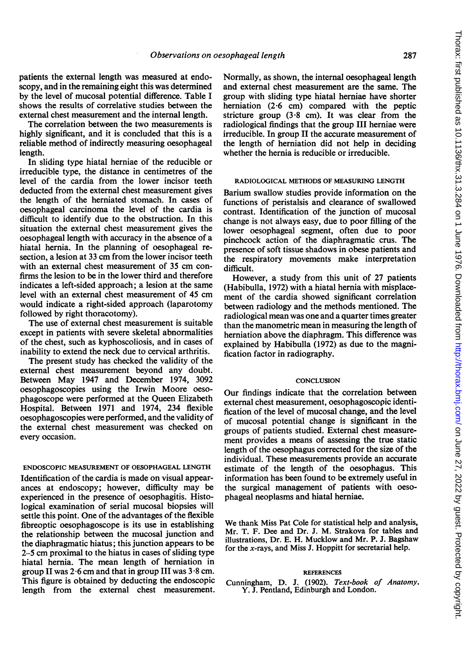patients the external length was measured at endoscopy, and in the remaining eight this was determined by the level of mucosal potential difference. Table <sup>I</sup> shows the results of correlative studies between the external chest measurement and the internal length.

The correlation between the two measurements is highly significant, and it is concluded that this is a reliable method of indirectly measuring oesophageal length.

In sliding type hiatal herniae of the reducible or irreducible type, the distance in centimetres of the level of the cardia from the lower incisor teeth deducted from the external chest measurement gives the length of the herniated stomach. In cases of oesophageal carcinoma the level of the cardia is difficult to identify due to the obstruction. In this situation the external chest measurement gives the oesophageal length with accuracy in the absence of a hiatal hernia. In the planning of oesophageal resection, a lesion at 33 cm from the lower incisor teeth with an external chest measurement of 35 cm confirms the lesion to be in the lower third and therefore indicates a left-sided approach; a lesion at the same level with an external chest measurement of 45 cm would indicate a right-sided approach (laparotomy followed by right thoracotomy).

The use of external chest measurement is suitable except in patients with severe skeletal abnormalities of the chest, such as kyphoscoliosis, and in cases of inability to extend the neck due to cervical arthritis.

The present study has checked the validity of the external chest measurement beyond any doubt. Between May 1947 and December 1974, 3092 oesophagoscopies using the Irwin Moore oesophagoscope were performed at the Queen Elizabeth Hospital. Between 1971 and 1974, 234 flexible oesophagoscopies were performed, and the validity of the external chest measurement was checked on every occasion.

# ENDOSCOPIC MEASUREMENT OF OESOPHAGEAL LENGTH

Identification of the cardia is made on visual appearances at endoscopy; however, difficulty may be experienced in the presence of oesophagitis. Histological examination of serial mucosal biopsies will settle this point. One of the advantages of the flexible fibreoptic oesophagoscope is its use in establishing the relationship between the mucosal junction and the diaphragmatic hiatus; this junction appears to be 2-5 cm proximal to the hiatus in cases of sliding type hiatal hernia. The mean length of herniation in group II was  $2.6$  cm and that in group III was  $3.8$  cm. This figure is obtained by deducting the endoscopic length from the external chest measurement.

Normally, as shown, the internal oesophageal length and external chest measurement are the same. The group with sliding type hiatal herniae have shorter herniation (2-6 cm) compared with the peptic stricture group  $(3.8 \text{ cm})$ . It was clear from the radiological findings that the group III herniae were irreducible. In group II the accurate measurement of the length of herniation did not help in deciding whether the hernia is reducible or irreducible.

## RADIOLOGICAL METHODS OF MEASURING LENGTH

Barium swallow studies provide information on the functions of peristalsis and clearance of swallowed contrast. Identification of the junction of mucosal change is not always easy, due to poor filling of the lower oesophageal segment, often due to poor pinchcock action of the diaphragmatic crus. The presence of soft tissue shadows in obese patients and the respiratory movements make interpretation difficult.

However, a study from this unit of 27 patients (Habibulla, 1972) with a hiatal hernia with misplacement of the cardia showed significant correlation between radiology and the methods mentioned. The radiological mean was one and a quarter times greater than the manometric mean in measuring the length of herniation above the diaphragm. This difference was explained by Habibulla (1972) as due to the magnification factor in radiography.

## **CONCLUSION**

Our findings indicate that the correlation between external chest measurement, oesophagoscopic identification of the level of mucosal change, and the level of mucosal potential change is significant in the groups of patients studied. External chest measurement provides a means of assessing the true static length of the oesophagus corrected for the size of the individual. These measurements provide an accurate estimate of the length of the oesophagus. This information has been found to be extremely useful in the surgical management of patients with oesophageal neoplasms and hiatal herniae.

We thank Miss Pat Cole for statistical help and analysis, Mr. T. F. Dee and Dr. J. M. Strakova for tables and illustrations, Dr. E. H. Mucklow and Mr. P. J. Bagshaw for the x-rays, and Miss J. Hoppitt for secretarial help.

# REFERENCES

Cunningham, D. J. (1902). Text-book of Anatomy. Y. J. Pentland, Edinburgh and London.